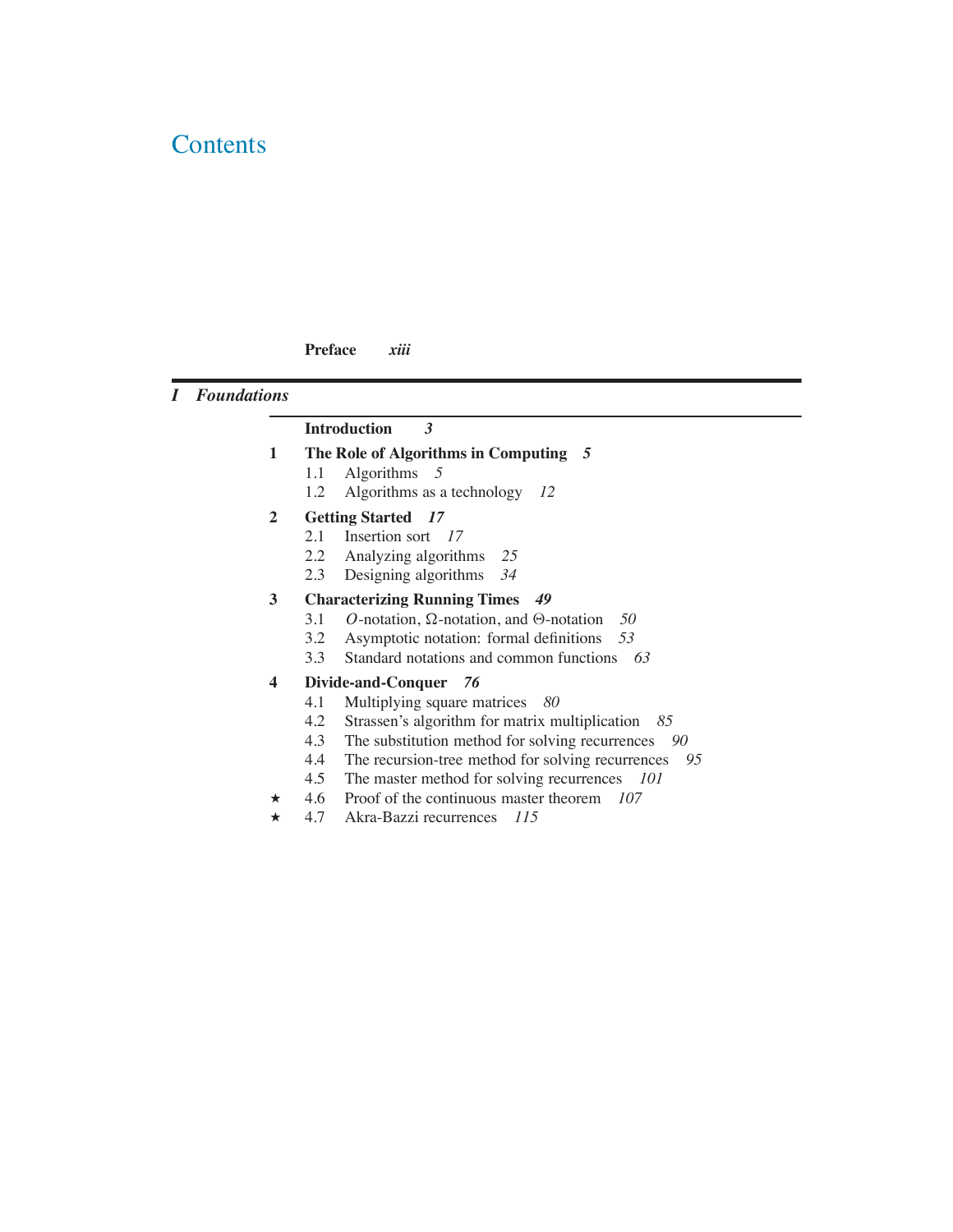# **Contents**

### **Preface** *xiii*

# *I Foundations*

# **Introduction** *3*

- **1 The Role of Algorithms in Computing** *5*
	- 1.1 Algorithms *5*
	- 1.2 Algorithms as a technology *12*
- **2 Getting Started** *17*
	- 2.1 Insertion sort *17*
	- 2.2 Analyzing algorithms 25<br>2.3 Designing algorithms 34
	- 2.3 Designing algorithms *34*

### **3 Characterizing Running Times** *49*

- 3.1 *O*-notation,  $\Omega$ -notation, and  $\Theta$ -notation 50<br>3.2 Asymptotic notation: formal definitions 53
- 3.2 Asymptotic notation: formal definitions *53*
- 3.3 Standard notations and common functions *63*

#### **4 Divide-and-Conquer** *76*

- 4.1 Multiplying square matrices *80*
- 4.2 Strassen's algorithm for matrix multiplication *85*
- 4.3 The substitution method for solving recurrences *90*
- 4.4 The recursion-tree method for solving recurrences 95<br>4.5 The master method for solving recurrences 101
- The master method for solving recurrences *101*
- ? 4.6 Proof of the continuous master theorem *107*
- ? 4.7 Akra-Bazzi recurrences *115*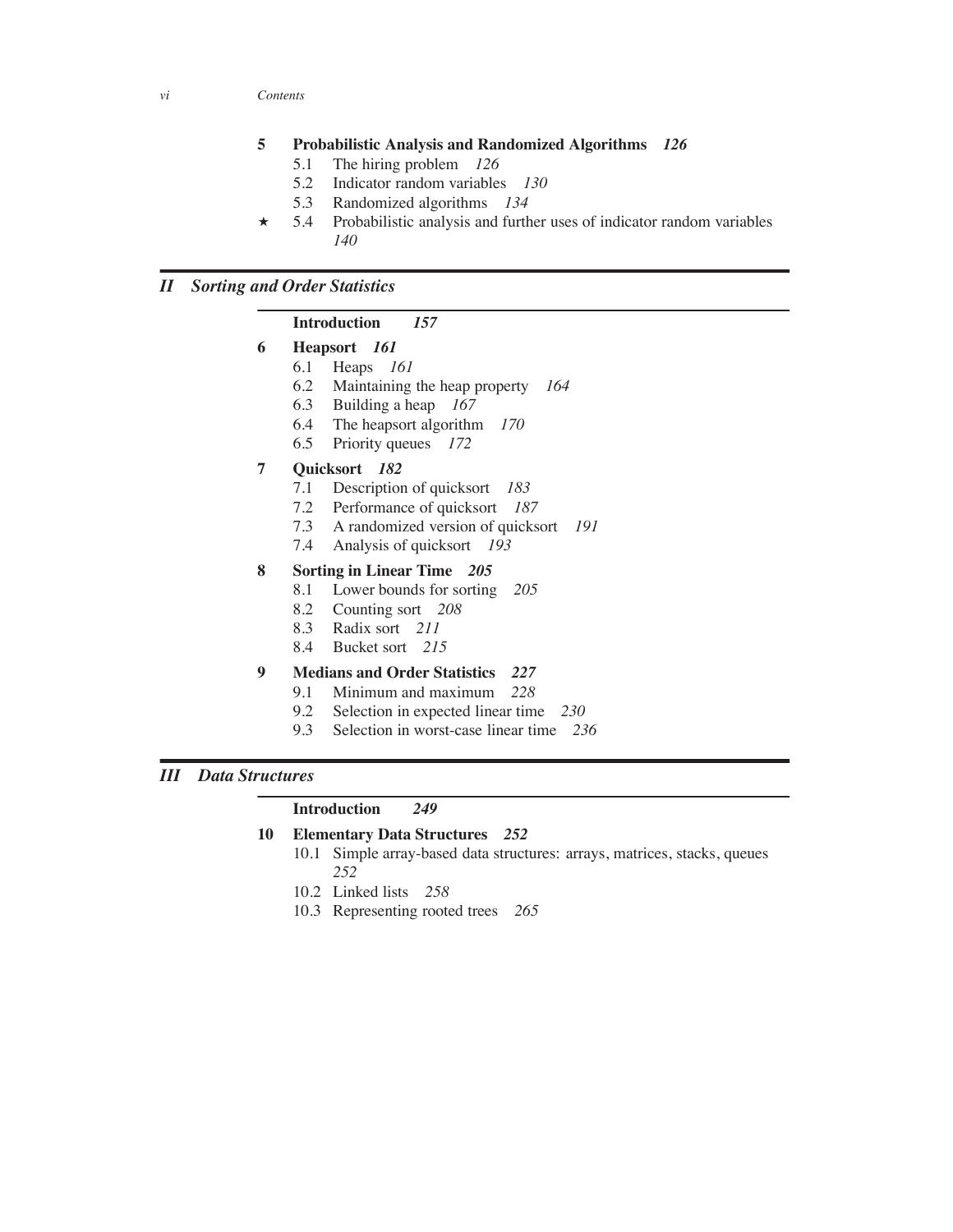#### **5 Probabilistic Analysis and Randomized Algorithms** *126*

- 5.1 The hiring problem *126*
- 5.2 Indicator random variables *130*
- 5.3 Randomized algorithms *134*
- $\star$  5.4 Probabilistic analysis and further uses of indicator random variables *140*

# *II Sorting and Order Statistics*

#### **Introduction** *157*

- **6 Heapsort** *161*
	- 6.1 Heaps *161*
	- 6.2 Maintaining the heap property *164*
	- 6.3 Building a heap *167*
	- 6.4 The heapsort algorithm *170*
	- 6.5 Priority queues *172*

#### **7 Quicksort** *182*

- 7.1 Description of quicksort *183*
- 7.2 Performance of quicksort *187*
- 7.3 A randomized version of quicksort *191*
- 7.4 Analysis of quicksort *193*

#### **8 Sorting in Linear Time** *205*

- 8.1 Lower bounds for sorting *205*
- 8.2 Counting sort *208*
- 8.3 Radix sort *211*
- 8.4 Bucket sort *215*
- **9 Medians and Order Statistics** *227*
	- 9.1 Minimum and maximum *228*
	- 9.2 Selection in expected linear time *230*
	- 9.3 Selection in worst-case linear time *236*

### *III Data Structures*

#### **Introduction** *249*

# **10 Elementary Data Structures** *252*

- 10.1 Simple array-based data structures: arrays, matrices, stacks, queues *252*
- 10.2 Linked lists *258*
- 10.3 Representing rooted trees *265*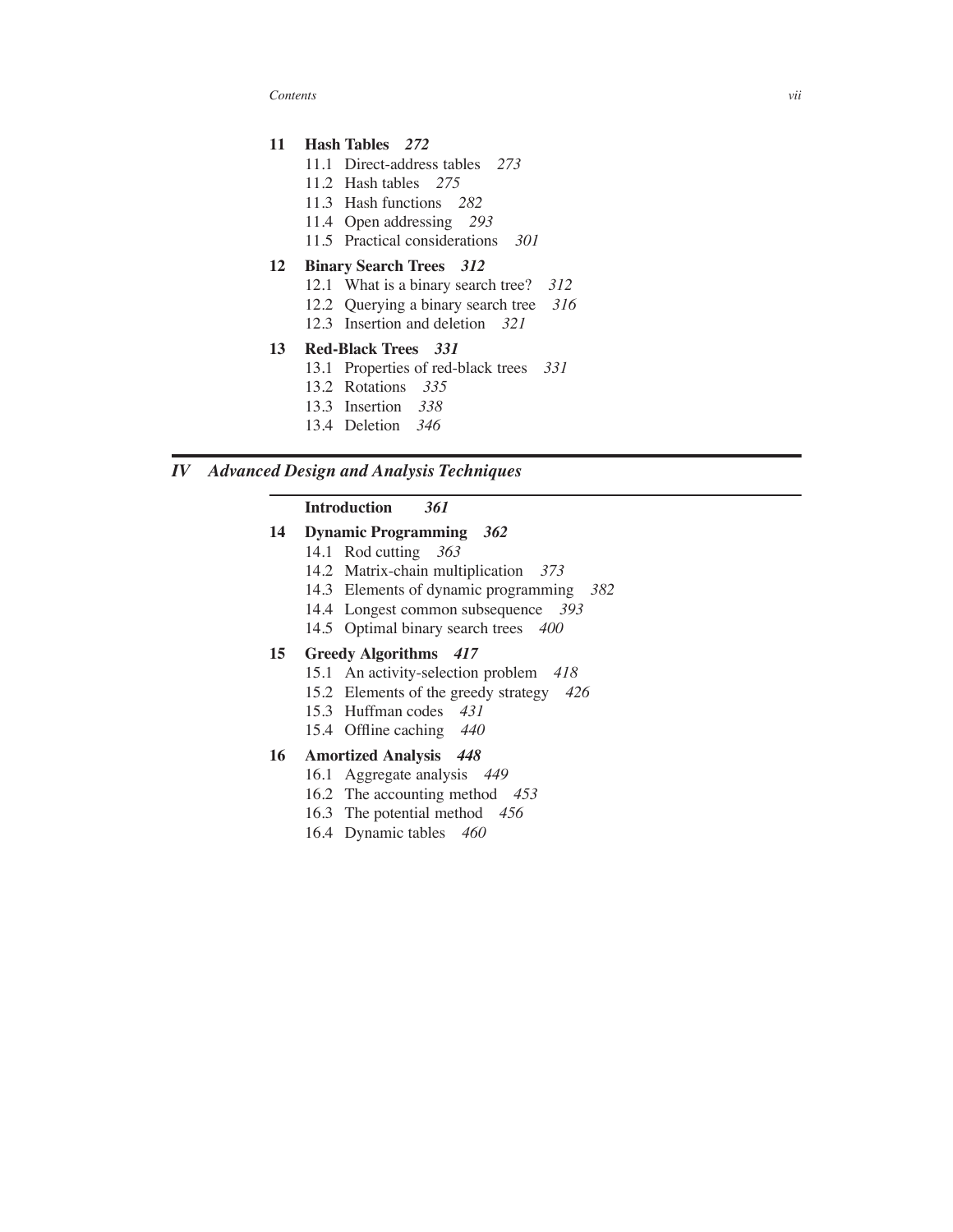*Contents vii*

## **11 Hash Tables** *272*

- 11.1 Direct-address tables *273*
- 11.2 Hash tables *275*
- 11.3 Hash functions *282*
- 11.4 Open addressing *293*
- 11.5 Practical considerations *301*

#### **12 Binary Search Trees** *312*

- 12.1 What is a binary search tree? *312*
- 12.2 Querying a binary search tree *316*
- 12.3 Insertion and deletion *321*

#### **13 Red-Black Trees** *331*

- 13.1 Properties of red-black trees *331*
- 13.2 Rotations *335*
- 13.3 Insertion *338*
- 13.4 Deletion *346*

# *IV Advanced Design and Analysis Techniques*

### **Introduction** *361*

### **14 Dynamic Programming** *362*

- 14.1 Rod cutting *363*
- 14.2 Matrix-chain multiplication *373*
- 14.3 Elements of dynamic programming *382*
- 14.4 Longest common subsequence *393*
- 14.5 Optimal binary search trees *400*

#### **15 Greedy Algorithms** *417*

- 15.1 An activity-selection problem *418*
- 15.2 Elements of the greedy strategy *426*
- 15.3 Huffman codes *431*
- 15.4 Offline caching *440*

#### **16 Amortized Analysis** *448*

- 16.1 Aggregate analysis *449*
- 16.2 The accounting method *453*
- 16.3 The potential method *456*
- 16.4 Dynamic tables *460*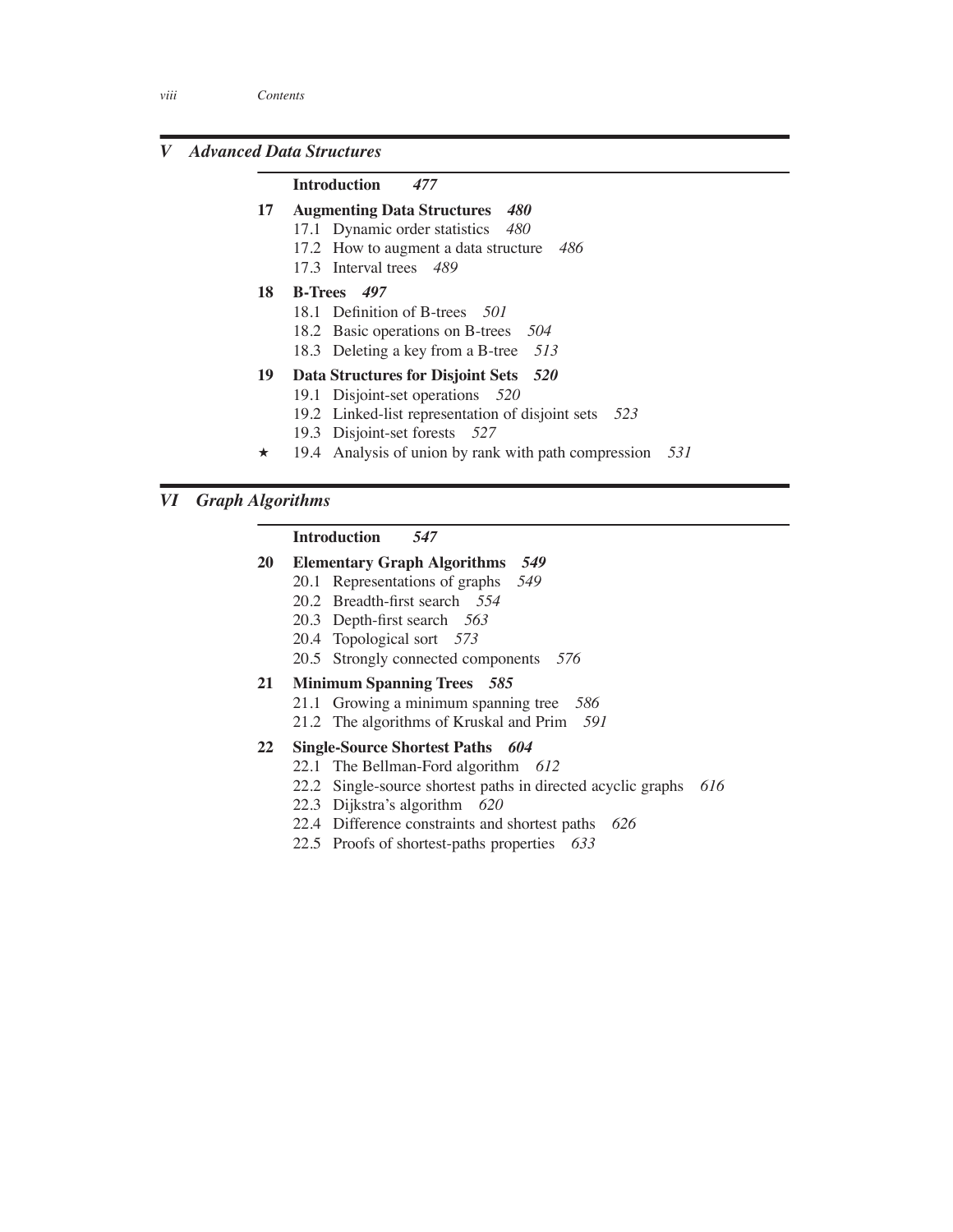# *V Advanced Data Structures*

#### **Introduction** *477*

- **17 Augmenting Data Structures** *480*
	- 17.1 Dynamic order statistics *480*
	- 17.2 How to augment a data structure *486*
	- 17.3 Interval trees *489*
- **18 B-Trees** *497*
	- 18.1 Definition of B-trees *501*
	- 18.2 Basic operations on B-trees *504*
	- 18.3 Deleting a key from a B-tree *513*
- **19 Data Structures for Disjoint Sets** *520*
	- 19.1 Disjoint-set operations *520*
	- 19.2 Linked-list representation of disjoint sets *523*
	- 19.3 Disjoint-set forests *527*
- ? 19.4 Analysis of union by rank with path compression *531*

# *VI Graph Algorithms*

#### **Introduction** *547*

- **20 Elementary Graph Algorithms** *549*
	- 20.1 Representations of graphs *549*
	- 20.2 Breadth-first search *554*
	- 20.3 Depth-first search *563*
	- 20.4 Topological sort *573*
	- 20.5 Strongly connected components *576*

#### **21 Minimum Spanning Trees** *585*

- 21.1 Growing a minimum spanning tree *586*
- 21.2 The algorithms of Kruskal and Prim *591*

#### **22 Single-Source Shortest Paths** *604*

- 22.1 The Bellman-Ford algorithm *612*
- 22.2 Single-source shortest paths in directed acyclic graphs *616*
- 22.3 Dijkstra's algorithm *620*
- 22.4 Difference constraints and shortest paths *626*
- 22.5 Proofs of shortest-paths properties *633*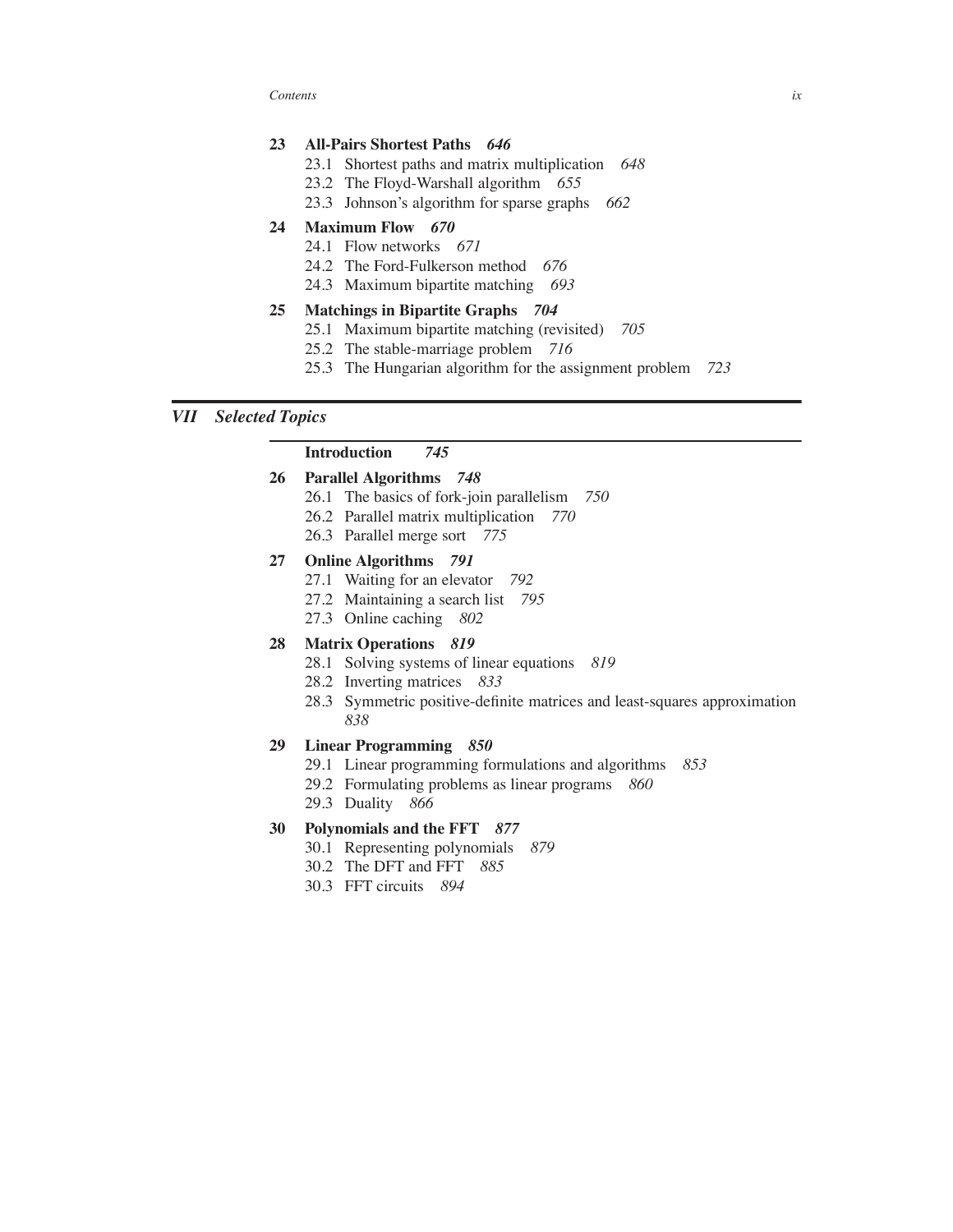*Contents ix*

# **23 All-Pairs Shortest Paths** *646*

- 23.1 Shortest paths and matrix multiplication *648*
- 23.2 The Floyd-Warshall algorithm *655*
- 23.3 Johnson's algorithm for sparse graphs *662*

### **24 Maximum Flow** *670*

- 24.1 Flow networks *671*
- 24.2 The Ford-Fulkerson method *676*
- 24.3 Maximum bipartite matching *693*

# **25 Matchings in Bipartite Graphs** *704*

- 25.1 Maximum bipartite matching (revisited) *705*
- 25.2 The stable-marriage problem *716*
- 25.3 The Hungarian algorithm for the assignment problem *723*

### *VII Selected Topics*

#### **Introduction** *745*

#### **26 Parallel Algorithms** *748*

- 26.1 The basics of fork-join parallelism *750*
- 26.2 Parallel matrix multiplication *770*
- 26.3 Parallel merge sort *775*

#### **27 Online Algorithms** *791*

- 27.1 Waiting for an elevator *792*
- 27.2 Maintaining a search list *795*
- 27.3 Online caching *802*

#### **28 Matrix Operations** *819*

- 28.1 Solving systems of linear equations *819*
- 28.2 Inverting matrices *833*
- 28.3 Symmetric positive-definite matrices and least-squares approximation *838*

#### **29 Linear Programming** *850*

- 29.1 Linear programming formulations and algorithms *853*
- 29.2 Formulating problems as linear programs *860*
- 29.3 Duality *866*

#### **30 Polynomials and the FFT** *877*

- 30.1 Representing polynomials *879*
- 30.2 The DFT and FFT *885*
- 30.3 FFT circuits *894*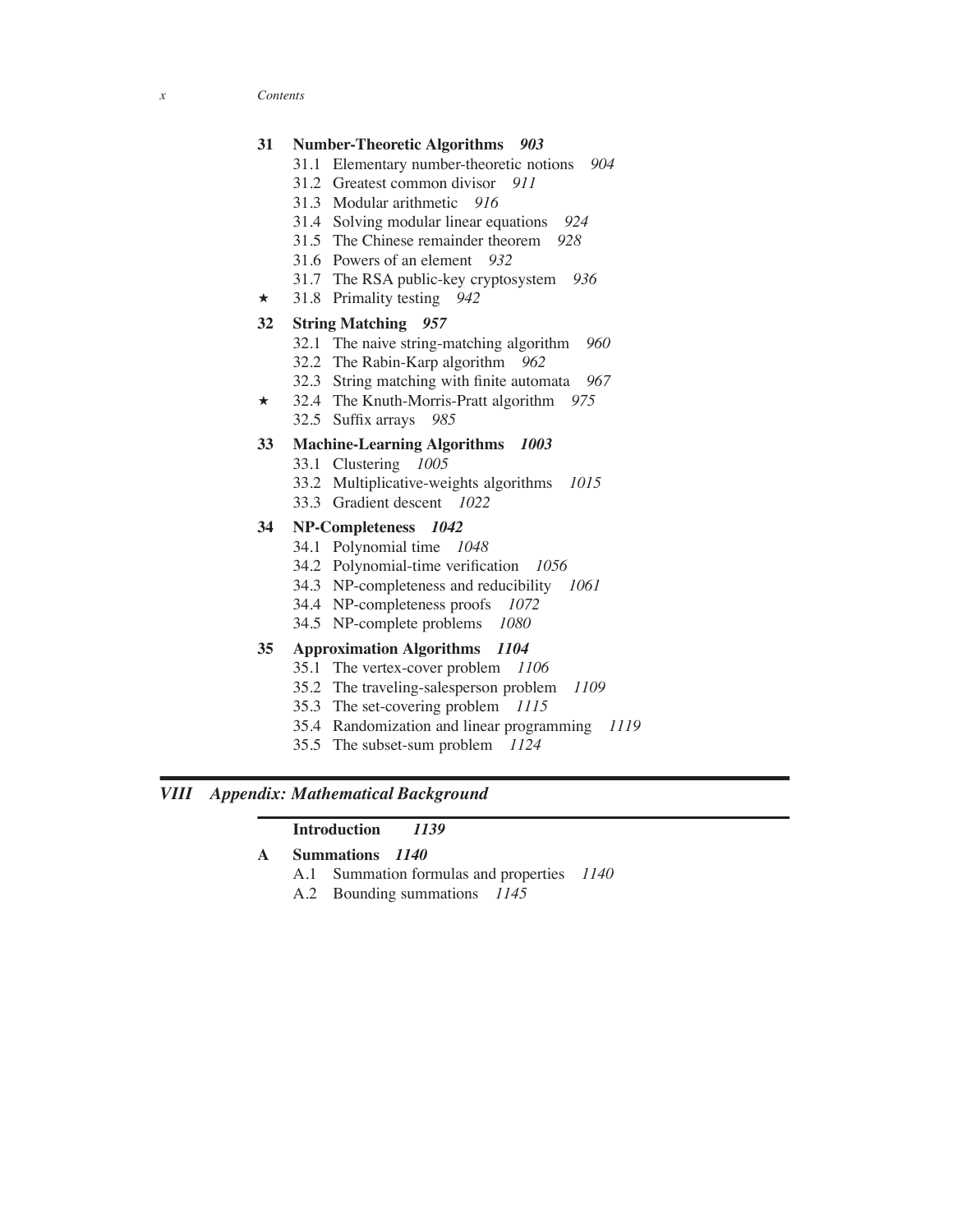*x Contents*

### **31 Number-Theoretic Algorithms** *903*

- 31.1 Elementary number-theoretic notions *904*
- 31.2 Greatest common divisor *911*
- 31.3 Modular arithmetic *916*
- 31.4 Solving modular linear equations *924*
- 31.5 The Chinese remainder theorem *928*
- 31.6 Powers of an element *932*
- 31.7 The RSA public-key cryptosystem *936*
- ? 31.8 Primality testing *942*

#### **32 String Matching** *957*

- 32.1 The naive string-matching algorithm *960*
- 32.2 The Rabin-Karp algorithm *962*
- 32.3 String matching with finite automata *967*
- ? 32.4 The Knuth-Morris-Pratt algorithm *975* 32.5 Suffix arrays *985*
	-

# **33 Machine-Learning Algorithms** *1003*

- 33.1 Clustering *1005*
- 33.2 Multiplicative-weights algorithms *1015*
- 33.3 Gradient descent *1022*

#### **34 NP-Completeness** *1042*

- 34.1 Polynomial time *1048*
- 34.2 Polynomial-time verification *1056*
- 34.3 NP-completeness and reducibility *1061*
- 34.4 NP-completeness proofs *1072*
- 34.5 NP-complete problems *1080*

### **35 Approximation Algorithms** *1104*

- 35.1 The vertex-cover problem *1106*
- 35.2 The traveling-salesperson problem *1109*
- 35.3 The set-covering problem *1115*
- 35.4 Randomization and linear programming *1119*
- 35.5 The subset-sum problem *1124*

### *VIII Appendix: Mathematical Background*

#### **Introduction** *1139*

### **A Summations** *1140*

- A.1 Summation formulas and properties *1140*
- A.2 Bounding summations *1145*